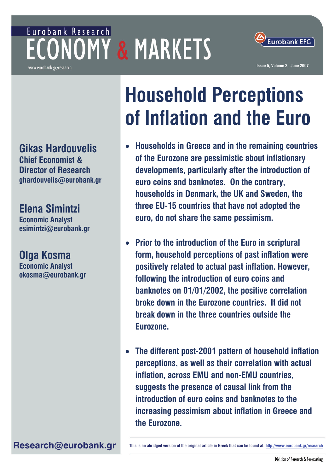## Eurobank Research **ECONOMY & MARKETS** www.eurobank.gr/research



**Issue 5, Volume 2, June 2007**

**Gikas Hardouvelis Chief Economist & Director of Research ghardouvelis@eurobank.gr** 

**Elena Simintzi Economic Analyst esimintzi@eurobank.gr** 

## **Olga Kosma**

**Economic Analyst okosma@eurobank.gr** 

# **Household Perceptions of Inflation and the Euro**

- **Households in Greece and in the remaining countries of the Eurozone are pessimistic about inflationary developments, particularly after the introduction of euro coins and banknotes. On the contrary, households in Denmark, the UK and Sweden, the three EU-15 countries that have not adopted the euro, do not share the same pessimism.**
- **Prior to the introduction of the Euro in scriptural form, household perceptions of past inflation were positively related to actual past inflation. However, following the introduction of euro coins and banknotes on 01/01/2002, the positive correlation broke down in the Eurozone countries. It did not break down in the three countries outside the Eurozone.**
- **The different post-2001 pattern of household inflation perceptions, as well as their correlation with actual inflation, across EMU and non-EMU countries, suggests the presence of causal link from the introduction of euro coins and banknotes to the increasing pessimism about inflation in Greece and the Eurozone.**

Research@eurobank.gr **his is an abridged version of the original article in Greek that can be found at: http://www.eurobank.gr/research**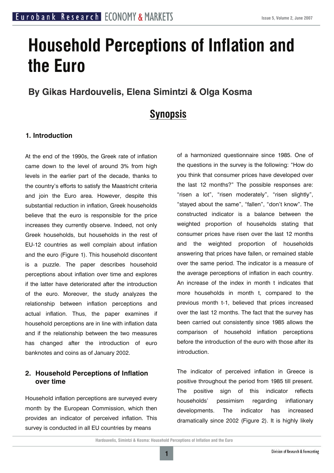## **Household Perceptions of Inflation and the Euro**

#### **By Gikas Hardouvelis, Elena Simintzi & Olga Kosma**

### **Synopsis**

#### **1. Introduction**

At the end of the 1990s, the Greek rate of inflation came down to the level of around 3% from high levels in the earlier part of the decade, thanks to the country's efforts to satisfy the Maastricht criteria and join the Euro area. However, despite this substantial reduction in inflation, Greek households believe that the euro is responsible for the price increases they currently observe. Indeed, not only Greek households, but households in the rest of EU-12 countries as well complain about inflation and the euro (Figure 1). This household discontent is a puzzle. The paper describes household perceptions about inflation over time and explores if the latter have deteriorated after the introduction of the euro. Moreover, the study analyzes the relationship between inflation perceptions and actual inflation. Thus, the paper examines if household perceptions are in line with inflation data and if the relationship between the two measures has changed after the introduction of euro banknotes and coins as of January 2002.

#### **2. Household Perceptions of Inflation over time**

Household inflation perceptions are surveyed every month by the European Commission, which then provides an indicator of perceived inflation. This survey is conducted in all EU countries by means

of a harmonized questionnaire since 1985. One of the questions in the survey is the following: "How do you think that consumer prices have developed over the last 12 months?" The possible responses are: "risen a lot", "risen moderately", "risen slightly", "stayed about the same", "fallen", "don't know". The constructed indicator is a balance between the weighted proportion of households stating that consumer prices have risen over the last 12 months and the weighted proportion of households answering that prices have fallen, or remained stable over the same period. The indicator is a measure of the average perceptions of inflation in each country. An increase of the index in month t indicates that more households in month t, compared to the previous month t-1, believed that prices increased over the last 12 months. The fact that the survey has been carried out consistently since 1985 allows the comparison of household inflation perceptions before the introduction of the euro with those after its introduction.

The indicator of perceived inflation in Greece is positive throughout the period from 1985 till present. The positive sign of this indicator reflects households' pessimism regarding inflationary developments. The indicator has increased dramatically since 2002 (Figure 2). It is highly likely

**1**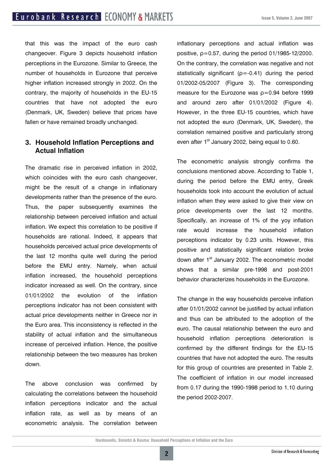that this was the impact of the euro cash changeover. Figure 3 depicts household inflation perceptions in the Eurozone. Similar to Greece, the number of households in Eurozone that perceive higher inflation increased strongly in 2002. On the contrary, the majority of households in the EU-15 countries that have not adopted the euro (Denmark, UK, Sweden) believe that prices have fallen or have remained broadly unchanged.

#### **3. Household Inflation Perceptions and Actual Inflation**

The dramatic rise in perceived inflation in 2002, which coincides with the euro cash changeover, might be the result of a change in inflationary developments rather than the presence of the euro. Thus, the paper subsequently examines the relationship between perceived inflation and actual inflation. We expect this correlation to be positive if households are rational. Indeed, it appears that households perceived actual price developments of the last 12 months quite well during the period before the EMU entry. Namely, when actual inflation increased, the household perceptions indicator increased as well. On the contrary, since 01/01/2002 the evolution of the inflation perceptions indicator has not been consistent with actual price developments neither in Greece nor in the Euro area. This inconsistency is reflected in the stability of actual inflation and the simultaneous increase of perceived inflation. Hence, the positive relationship between the two measures has broken down.

The above conclusion was confirmed by calculating the correlations between the household inflation perceptions indicator and the actual inflation rate, as well as by means of an econometric analysis. The correlation between inflationary perceptions and actual inflation was positive,  $p=0.57$ , during the period 01/1985-12/2000. On the contrary, the correlation was negative and not statistically significant ( $\rho$ =-0.41) during the period 01/2002-05/2007 (Figure 3). The corresponding measure for the Eurozone was ρ=0.94 before 1999 and around zero after 01/01/2002 (Figure 4). However, in the three EU-15 countries, which have not adopted the euro (Denmark, UK, Sweden), the correlation remained positive and particularly strong even after  $1<sup>st</sup>$  January 2002, being equal to 0.60.

The econometric analysis strongly confirms the conclusions mentioned above. According to Table 1, during the period before the EMU entry, Greek households took into account the evolution of actual inflation when they were asked to give their view on price developments over the last 12 months. Specifically, an increase of 1% of the yoy inflation rate would increase the household inflation perceptions indicator by 0.23 units. However, this positive and statistically significant relation broke down after 1<sup>st</sup> January 2002. The econometric model shows that a similar pre-1998 and post-2001 behavior characterizes households in the Eurozone.

The change in the way households perceive inflation after 01/01/2002 cannot be justified by actual inflation and thus can be attributed to the adoption of the euro. The causal relationship between the euro and household inflation perceptions deterioration is confirmed by the different findings for the EU-15 countries that have not adopted the euro. The results for this group of countries are presented in Table 2. The coefficient of inflation in our model increased from 0.17 during the 1990-1998 period to 1.10 during the period 2002-2007.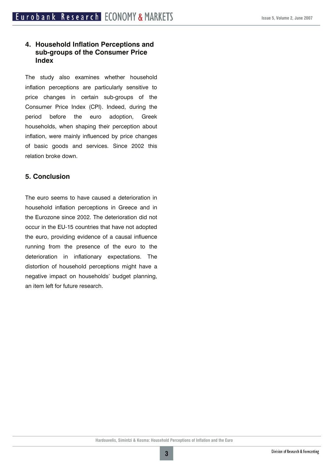#### **4. Household Inflation Perceptions and sub-groups of the Consumer Price Index**

The study also examines whether household inflation perceptions are particularly sensitive to price changes in certain sub-groups of the Consumer Price Index (CPI). Indeed, during the period before the euro adoption, Greek households, when shaping their perception about inflation, were mainly influenced by price changes of basic goods and services. Since 2002 this relation broke down.

#### **5. Conclusion**

The euro seems to have caused a deterioration in household inflation perceptions in Greece and in the Eurozone since 2002. The deterioration did not occur in the EU-15 countries that have not adopted the euro, providing evidence of a causal influence running from the presence of the euro to the deterioration in inflationary expectations. The distortion of household perceptions might have a negative impact on households' budget planning, an item left for future research.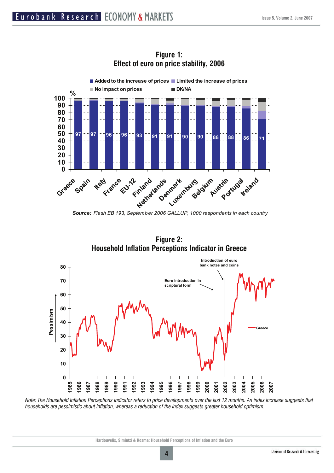

**Figure 1: Effect of euro on price stability, 2006** 

**Figure 2: Household Inflation Perceptions Indicator in Greece** 



*Note: The Household Inflation Perceptions Indicator refers to price developments over the last 12 months. An index increase suggests that households are pessimistic about inflation, whereas a reduction of the index suggests greater household optimism.* 

*Source: Flash EB 193, September 2006 GALLUP, 1000 respondents in each country*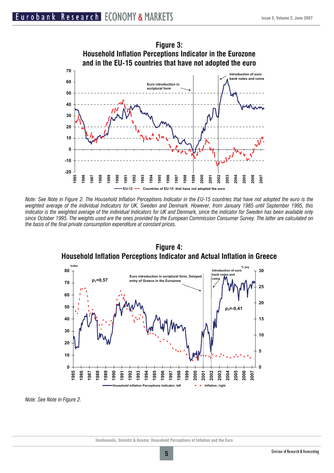

*Note: See Note in Figure 2. The Household Inflation Perceptions Indicator in the EU-15 countries that have not adopted the euro is the weighted average of the individual lndicators for UK, Sweden and Denmark. However, from January 1985 until September 1995, this indicator is the weighted average of the individual Indicators for UK and Denmark, since the indicator for Sweden has been available only since October 1995. The weights used are the ones provided by the European Commission Consumer Survey. The latter are calculated on the basis of the final private consumption expenditure at constant prices.* 



**Figure 4: Household Inflation Perceptions Indicator and Actual Inflation in Greece** 

*Note: See Note in Figure 2.*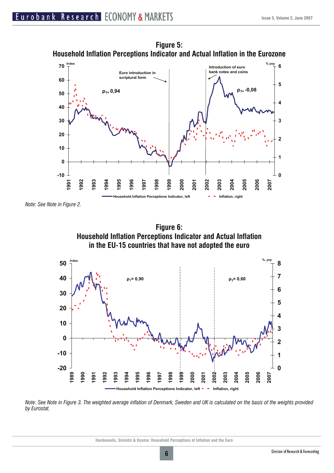

**Figure 5: Household Inflation Perceptions Indicator and Actual Inflation in the Eurozone** 

*Note: See Note in Figure 2.* 





*Note: See Note in Figure 3. The weighted average inflation of Denmark, Sweden and UK is calculated on the basis of the weights provided by Eurostat.*

**Hardouvelis, Simintzi & Kosma: Household Perceptions of Inflation and the Euro**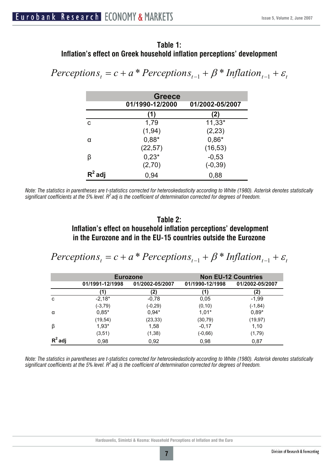#### **Table 1: Inflation's effect on Greek household inflation perceptions' development**

 $$ 

| <b>Greece</b> |                 |                 |  |  |
|---------------|-----------------|-----------------|--|--|
|               | 01/1990-12/2000 | 01/2002-05/2007 |  |  |
|               | (1)             | (2)             |  |  |
| C             | 1,79            | $11,33*$        |  |  |
|               | (1, 94)         | (2, 23)         |  |  |
| α             | $0,88*$         | $0,86*$         |  |  |
|               | (22, 57)        | (16, 53)        |  |  |
| β             | $0,23*$         | $-0,53$         |  |  |
|               | (2,70)          | $(-0, 39)$      |  |  |
| $R^2$ adj     | 0,94            | 0,88            |  |  |

*Note: The statistics in parentheses are t-statistics corrected for heteroskedasticity according to White (1980). Asterisk denotes statistically significant coefficients at the 5% level. R2 adj is the coefficient of determination corrected for degrees of freedom.* 

#### **Table 2: Inflation's effect on household inflation perceptions' development in the Eurozone and in the EU-15 countries outside the Eurozone**

 $$ 

|           | <b>Eurozone</b> |                 | <b>Non EU-12 Countries</b> |                 |
|-----------|-----------------|-----------------|----------------------------|-----------------|
|           | 01/1991-12/1998 | 01/2002-05/2007 | 01/1990-12/1998            | 01/2002-05/2007 |
|           | 41              |                 |                            | (2)             |
| C         | $-2,18*$        | $-0,78$         | 0,05                       | $-1,99$         |
|           | $(-3, 79)$      | $(-0, 29)$      | (0, 10)                    | (-1,84)         |
| α         | $0,85*$         | $0,94*$         | $1,01*$                    | $0,89*$         |
|           | (19, 54)        | (23, 33)        | (30, 79)                   | (19, 97)        |
| β         | $1,93*$         | 1,58            | $-0,17$                    | 1,10            |
|           | (3,51)          | (1, 38)         | $(-0, 66)$                 | (1,79)          |
| $R^2$ adj | 0,98            | 0,92            | 0,98                       | 0,87            |

*Note: The statistics in parentheses are t-statistics corrected for heteroskedasticity according to White (1980). Asterisk denotes statistically significant coefficients at the 5% level. R2 adj is the coefficient of determination corrected for degrees of freedom.*